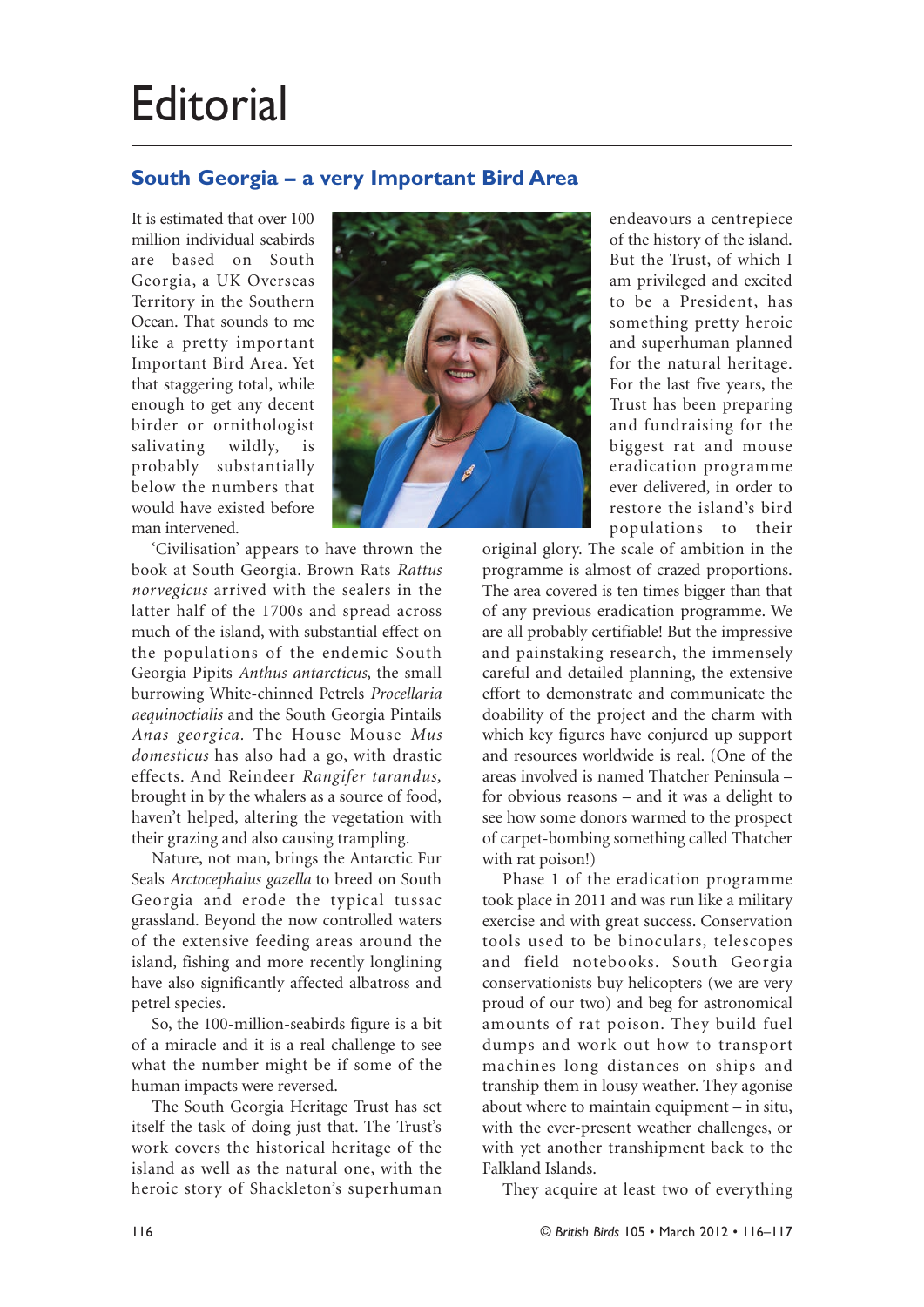## **Editorial**

## **South Georgia – a very Important Bird Area**

It is estimated that over 100 million individual seabirds are based on South Georgia, a UK Overseas Territory in the Southern Ocean. That sounds to me like a pretty important Important Bird Area. Yet that staggering total, while enough to get any decent birder or ornithologist salivating wildly, is probably substantially below the numbers that would have existed before man intervened.



'Civilisation' appears to have thrown the book at South Georgia. Brown Rats *Rattus norvegicus* arrived with the sealers in the latter half of the 1700s and spread across much of the island, with substantial effect on the populations of the endemic South Georgia Pipits *Anthus antarcticus*, the small burrowing White-chinned Petrels *Procellaria aequinoctialis* and the South Georgia Pintails *Anas georgica.* The House Mouse *Mus domesticus* has also had a go, with drastic effects. And Reindeer *Rangifer tarandus,* brought in by the whalers as a source of food, haven't helped, altering the vegetation with their grazing and also causing trampling.

Nature, not man, brings the Antarctic Fur Seals *Arctocephalus gazella* to breed on South Georgia and erode the typical tussac grassland. Beyond the now controlled waters of the extensive feeding areas around the island, fishing and more recently longlining have also significantly affected albatross and petrel species.

So, the 100-million-seabirds figure is a bit of a miracle and it is a real challenge to see what the number might be if some of the human impacts were reversed.

The South Georgia Heritage Trust has set itself the task of doing just that. The Trust's work covers the historical heritage of the island as well as the natural one, with the heroic story of Shackleton's superhuman

endeavours a centrepiece of the history of the island. But the Trust, of which I am privileged and excited to be a President, has something pretty heroic and superhuman planned for the natural heritage. For the last five years, the Trust has been preparing and fundraising for the biggest rat and mouse eradication programme ever delivered, in order to restore the island's bird populations to their

original glory. The scale of ambition in the programme is almost of crazed proportions. The area covered is ten times bigger than that of any previous eradication programme. We are all probably certifiable! But the impressive and painstaking research, the immensely careful and detailed planning, the extensive effort to demonstrate and communicate the doability of the project and the charm with which key figures have conjured up support and resources worldwide is real. (One of the areas involved is named Thatcher Peninsula – for obvious reasons – and it was a delight to see how some donors warmed to the prospect of carpet-bombing something called Thatcher with rat poison!)

Phase 1 of the eradication programme took place in 2011 and was run like a military exercise and with great success. Conservation tools used to be binoculars, telescopes and field notebooks. South Georgia conservationists buy helicopters (we are very proud of our two) and beg for astronomical amounts of rat poison. They build fuel dumps and work out how to transport machines long distances on ships and tranship them in lousy weather. They agonise about where to maintain equipment – in situ, with the ever-present weather challenges, or with yet another transhipment back to the Falkland Islands.

They acquire at least two of everything